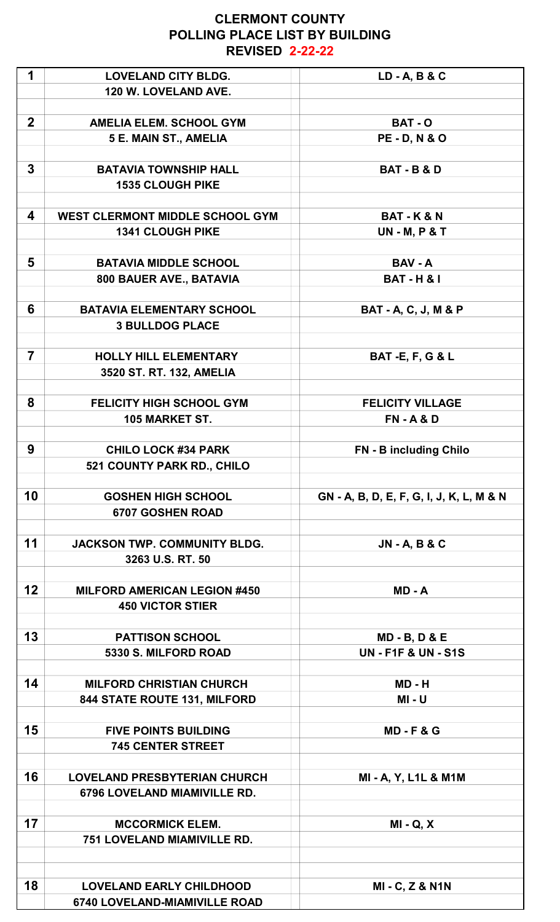| 1              | <b>LOVELAND CITY BLDG.</b><br>120 W. LOVELAND AVE. | LD - A, B & C                            |
|----------------|----------------------------------------------------|------------------------------------------|
| $\overline{2}$ | <b>AMELIA ELEM. SCHOOL GYM</b>                     | <b>BAT - O</b>                           |
|                | 5 E. MAIN ST., AMELIA                              | <b>PE-D, N &amp; O</b>                   |
|                |                                                    |                                          |
| $\overline{3}$ | <b>BATAVIA TOWNSHIP HALL</b>                       | <b>BAT - B &amp; D</b>                   |
|                | <b>1535 CLOUGH PIKE</b>                            |                                          |
|                |                                                    |                                          |
| 4              | <b>WEST CLERMONT MIDDLE SCHOOL GYM</b>             | <b>BAT - K &amp; N</b>                   |
|                | <b>1341 CLOUGH PIKE</b>                            | <b>UN-M, P&amp;T</b>                     |
|                |                                                    |                                          |
| 5              | <b>BATAVIA MIDDLE SCHOOL</b>                       | <b>BAV - A</b>                           |
|                | 800 BAUER AVE., BATAVIA                            | <b>BAT-H&amp;I</b>                       |
|                |                                                    |                                          |
| 6              | <b>BATAVIA ELEMENTARY SCHOOL</b>                   | <b>BAT - A, C, J, M &amp; P</b>          |
|                | <b>3 BULLDOG PLACE</b>                             |                                          |
|                |                                                    |                                          |
| $\overline{7}$ | <b>HOLLY HILL ELEMENTARY</b>                       | <b>BAT -E, F, G &amp; L</b>              |
|                | 3520 ST. RT. 132, AMELIA                           |                                          |
|                |                                                    |                                          |
| 8              | <b>FELICITY HIGH SCHOOL GYM</b>                    | <b>FELICITY VILLAGE</b>                  |
|                | 105 MARKET ST.                                     | $FN - A & D$                             |
|                |                                                    |                                          |
| 9              | <b>CHILO LOCK #34 PARK</b>                         | <b>FN - B including Chilo</b>            |
|                | 521 COUNTY PARK RD., CHILO                         |                                          |
|                |                                                    |                                          |
| 10             | <b>GOSHEN HIGH SCHOOL</b>                          | GN - A, B, D, E, F, G, I, J, K, L, M & N |
|                | 6707 GOSHEN ROAD                                   |                                          |
| 11             | <b>JACKSON TWP. COMMUNITY BLDG.</b>                | <b>JN - A, B &amp; C</b>                 |
|                | 3263 U.S. RT. 50                                   |                                          |
|                |                                                    |                                          |
| 12             | <b>MILFORD AMERICAN LEGION #450</b>                | $MD - A$                                 |
|                | <b>450 VICTOR STIER</b>                            |                                          |
|                |                                                    |                                          |
| 13             | <b>PATTISON SCHOOL</b>                             | $MD - B$ , $D & E$                       |
|                | 5330 S. MILFORD ROAD                               | <b>UN-F1F&amp;UN-S1S</b>                 |
|                |                                                    |                                          |
| 14             | <b>MILFORD CHRISTIAN CHURCH</b>                    | MD - H                                   |
|                | 844 STATE ROUTE 131, MILFORD                       | <b>MI - U</b>                            |
|                |                                                    |                                          |
| 15             | <b>FIVE POINTS BUILDING</b>                        | $MD - F & G$                             |
|                | <b>745 CENTER STREET</b>                           |                                          |
|                |                                                    |                                          |
| 16             | <b>LOVELAND PRESBYTERIAN CHURCH</b>                | MI - A, Y, L1L & M1M                     |
|                | <b>6796 LOVELAND MIAMIVILLE RD.</b>                |                                          |
|                |                                                    |                                          |
| 17             | <b>MCCORMICK ELEM.</b>                             | $MI - Q, X$                              |
|                | <b>751 LOVELAND MIAMIVILLE RD.</b>                 |                                          |
|                |                                                    |                                          |
| 18             |                                                    |                                          |
|                | <b>LOVELAND EARLY CHILDHOOD</b>                    | <b>MI - C, Z &amp; N1N</b>               |
|                | 6740 LOVELAND-MIAMIVILLE ROAD                      |                                          |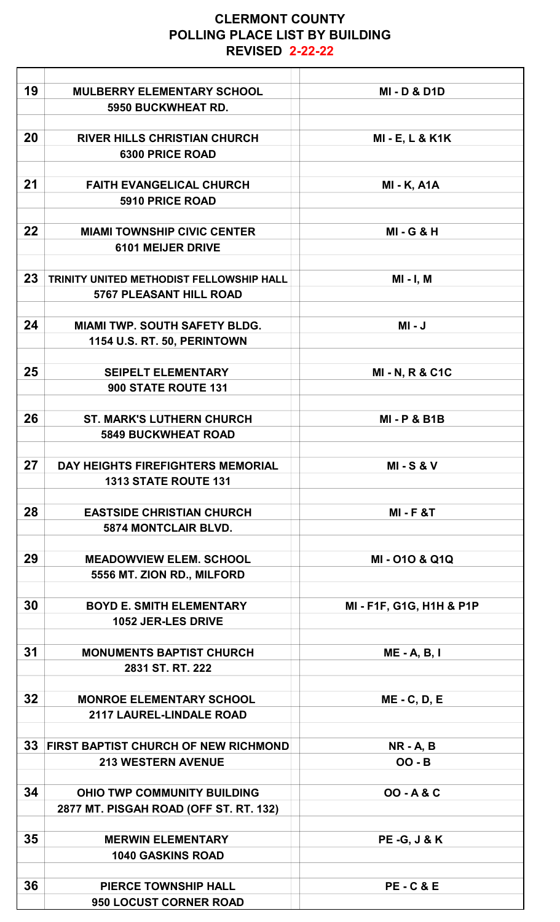| 19 | <b>MULBERRY ELEMENTARY SCHOOL</b>        | <b>MI-D&amp;D1D</b>                 |
|----|------------------------------------------|-------------------------------------|
|    |                                          |                                     |
|    | 5950 BUCKWHEAT RD.                       |                                     |
|    |                                          |                                     |
| 20 | <b>RIVER HILLS CHRISTIAN CHURCH</b>      | <b>MI-E, L &amp; K1K</b>            |
|    | <b>6300 PRICE ROAD</b>                   |                                     |
|    |                                          |                                     |
| 21 | <b>FAITH EVANGELICAL CHURCH</b>          | <b>MI - K, A1A</b>                  |
|    | 5910 PRICE ROAD                          |                                     |
|    |                                          |                                     |
| 22 | <b>MIAMI TOWNSHIP CIVIC CENTER</b>       | $MI - G & H$                        |
|    | <b>6101 MEIJER DRIVE</b>                 |                                     |
|    |                                          |                                     |
| 23 | TRINITY UNITED METHODIST FELLOWSHIP HALL | $MI - I, M$                         |
|    | <b>5767 PLEASANT HILL ROAD</b>           |                                     |
|    |                                          |                                     |
| 24 | <b>MIAMI TWP. SOUTH SAFETY BLDG.</b>     | $M - J$                             |
|    | <b>1154 U.S. RT. 50, PERINTOWN</b>       |                                     |
|    |                                          |                                     |
| 25 | <b>SEIPELT ELEMENTARY</b>                | <b>MI-N, R &amp; C1C</b>            |
|    | 900 STATE ROUTE 131                      |                                     |
|    |                                          |                                     |
| 26 | <b>ST. MARK'S LUTHERN CHURCH</b>         | <b>MI-P&amp;B1B</b>                 |
|    | <b>5849 BUCKWHEAT ROAD</b>               |                                     |
|    |                                          |                                     |
| 27 | DAY HEIGHTS FIREFIGHTERS MEMORIAL        | <b>MI-S&amp;V</b>                   |
|    | 1313 STATE ROUTE 131                     |                                     |
|    |                                          |                                     |
| 28 | <b>EASTSIDE CHRISTIAN CHURCH</b>         | $MI - F & T$                        |
|    | <b>5874 MONTCLAIR BLVD.</b>              |                                     |
|    |                                          |                                     |
| 29 | <b>MEADOWVIEW ELEM. SCHOOL</b>           | MI-010 & Q1Q                        |
|    | 5556 MT. ZION RD., MILFORD               |                                     |
|    |                                          |                                     |
| 30 | <b>BOYD E. SMITH ELEMENTARY</b>          | <b>MI - F1F, G1G, H1H &amp; P1P</b> |
|    |                                          |                                     |
|    | <b>1052 JER-LES DRIVE</b>                |                                     |
| 31 |                                          |                                     |
|    | <b>MONUMENTS BAPTIST CHURCH</b>          | <b>ME - A, B, I</b>                 |
|    | 2831 ST. RT. 222                         |                                     |
|    |                                          |                                     |
| 32 | <b>MONROE ELEMENTARY SCHOOL</b>          | $ME - C, D, E$                      |
|    | 2117 LAUREL-LINDALE ROAD                 |                                     |
|    |                                          |                                     |
|    |                                          |                                     |
|    | 33 FIRST BAPTIST CHURCH OF NEW RICHMOND  | <b>NR - A, B</b>                    |
|    | <b>213 WESTERN AVENUE</b>                | $OO - B$                            |
|    |                                          |                                     |
| 34 | OHIO TWP COMMUNITY BUILDING              | 00 - A & C                          |
|    | 2877 MT. PISGAH ROAD (OFF ST. RT. 132)   |                                     |
|    |                                          |                                     |
| 35 | <b>MERWIN ELEMENTARY</b>                 | <b>PE-G, J &amp; K</b>              |
|    | <b>1040 GASKINS ROAD</b>                 |                                     |
|    |                                          |                                     |
| 36 | <b>PIERCE TOWNSHIP HALL</b>              | <b>PE-C&amp;E</b>                   |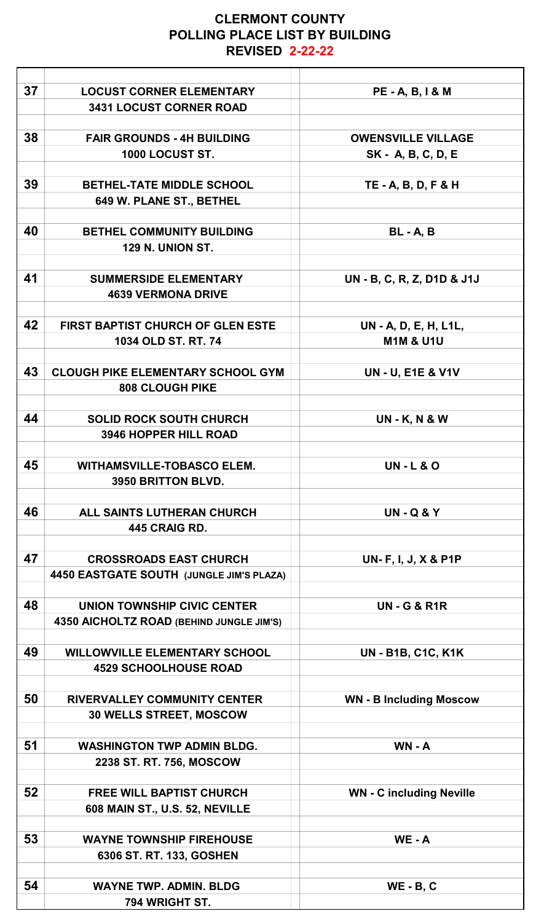| 37 | <b>LOCUST CORNER ELEMENTARY</b>          | <b>PE - A, B, I &amp; M</b>     |
|----|------------------------------------------|---------------------------------|
|    | <b>3431 LOCUST CORNER ROAD</b>           |                                 |
|    |                                          |                                 |
| 38 | <b>FAIR GROUNDS - 4H BUILDING</b>        | <b>OWENSVILLE VILLAGE</b>       |
|    | 1000 LOCUST ST.                          | SK - A, B, C, D, E              |
|    |                                          |                                 |
| 39 | <b>BETHEL-TATE MIDDLE SCHOOL</b>         | TE - A, B, D, F & H             |
|    | 649 W. PLANE ST., BETHEL                 |                                 |
|    |                                          |                                 |
| 40 | <b>BETHEL COMMUNITY BUILDING</b>         | <b>BL</b> - A, B                |
|    | <b>129 N. UNION ST.</b>                  |                                 |
|    |                                          |                                 |
| 41 | <b>SUMMERSIDE ELEMENTARY</b>             | UN - B, C, R, Z, D1D & J1J      |
|    | <b>4639 VERMONA DRIVE</b>                |                                 |
|    |                                          |                                 |
| 42 | <b>FIRST BAPTIST CHURCH OF GLEN ESTE</b> | UN - A, D, E, H, L1L,           |
|    | 1034 OLD ST. RT. 74                      | <b>M1M &amp; U1U</b>            |
|    |                                          |                                 |
| 43 | <b>CLOUGH PIKE ELEMENTARY SCHOOL GYM</b> | <b>UN - U, E1E &amp; V1V</b>    |
|    | <b>808 CLOUGH PIKE</b>                   |                                 |
|    |                                          |                                 |
| 44 | <b>SOLID ROCK SOUTH CHURCH</b>           | <b>UN-K, N&amp;W</b>            |
|    | <b>3946 HOPPER HILL ROAD</b>             |                                 |
| 45 | <b>WITHAMSVILLE-TOBASCO ELEM.</b>        | <b>UN-L&amp;O</b>               |
|    | 3950 BRITTON BLVD.                       |                                 |
|    |                                          |                                 |
| 46 | <b>ALL SAINTS LUTHERAN CHURCH</b>        | <b>UN-Q&amp;Y</b>               |
|    | 445 CRAIG RD.                            |                                 |
|    |                                          |                                 |
| 47 | <b>CROSSROADS EAST CHURCH</b>            | UN- F, I, J, X & P1P            |
|    | 4450 EASTGATE SOUTH (JUNGLE JIM'S PLAZA) |                                 |
|    |                                          |                                 |
| 48 | UNION TOWNSHIP CIVIC CENTER              | <b>UN-G&amp;R1R</b>             |
|    | 4350 AICHOLTZ ROAD (BEHIND JUNGLE JIM'S) |                                 |
|    |                                          |                                 |
| 49 | <b>WILLOWVILLE ELEMENTARY SCHOOL</b>     | <b>UN - B1B, C1C, K1K</b>       |
|    | <b>4529 SCHOOLHOUSE ROAD</b>             |                                 |
|    |                                          |                                 |
| 50 | <b>RIVERVALLEY COMMUNITY CENTER</b>      | <b>WN - B Including Moscow</b>  |
|    | <b>30 WELLS STREET, MOSCOW</b>           |                                 |
|    |                                          |                                 |
| 51 | <b>WASHINGTON TWP ADMIN BLDG.</b>        | $WN - A$                        |
|    | 2238 ST. RT. 756, MOSCOW                 |                                 |
|    |                                          |                                 |
| 52 | FREE WILL BAPTIST CHURCH                 | <b>WN - C including Neville</b> |
|    | 608 MAIN ST., U.S. 52, NEVILLE           |                                 |
|    |                                          |                                 |
| 53 | <b>WAYNE TOWNSHIP FIREHOUSE</b>          | $WE - A$                        |
|    | 6306 ST. RT. 133, GOSHEN                 |                                 |
| 54 | <b>WAYNE TWP. ADMIN. BLDG</b>            | $WF - R C$                      |
|    | 794 WRIGHT ST.                           |                                 |
|    |                                          |                                 |